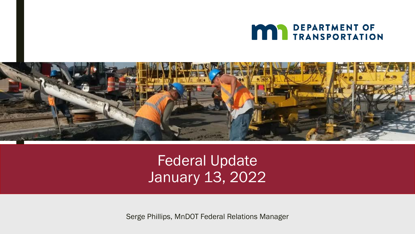



Federal Update January 13, 2022

Serge Phillips, MnDOT Federal Relations Manager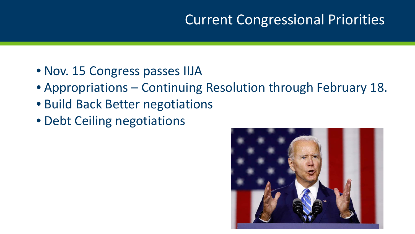#### Current Congressional Priorities

- Nov. 15 Congress passes IIJA
- Appropriations Continuing Resolution through February 18.
- Build Back Better negotiations
- Debt Ceiling negotiations

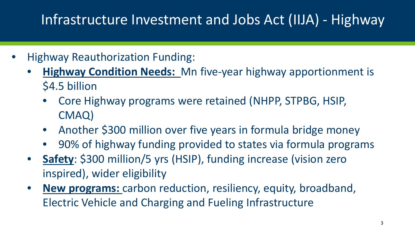## Infrastructure Investment and Jobs Act (IIJA) - Highway

- Highway Reauthorization Funding:
	- **Highway Condition Needs:** Mn five-year highway apportionment is \$4.5 billion
		- Core Highway programs were retained (NHPP, STPBG, HSIP, CMAQ)
		- Another \$300 million over five years in formula bridge money
		- 90% of highway funding provided to states via formula programs
	- **Safety**: \$300 million/5 yrs (HSIP), funding increase (vision zero inspired), wider eligibility
	- **New programs:** carbon reduction, resiliency, equity, broadband, Electric Vehicle and Charging and Fueling Infrastructure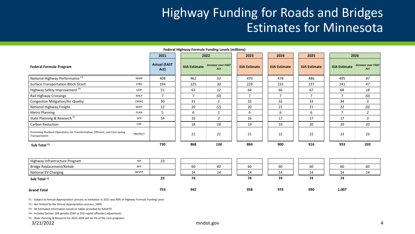#### Highway Funding for Roads and Bridges Estimates for Minnesota

|                                                                                                 |                |                             | <b>Federal Highway Formula Funding Levels (millions)</b> |                                  |                      |                      |                      |                      |                                  |
|-------------------------------------------------------------------------------------------------|----------------|-----------------------------|----------------------------------------------------------|----------------------------------|----------------------|----------------------|----------------------|----------------------|----------------------------------|
|                                                                                                 |                | 2021                        |                                                          | 2022                             | 2023                 | 2024                 | 2025                 |                      | 2026                             |
| <b>Federal Formula Program</b>                                                                  |                | <b>Actual (FAST</b><br>Act) | <b>IIJA Estimate</b>                                     | <b>Increase over FAST</b><br>Act | <b>IIJA Estimate</b> | <b>IIJA Estimate</b> | <b>IIJA Estimate</b> | <b>IIJA Estimate</b> | <b>Increase over FAST</b><br>Act |
| National Highway Performance <sup>F4</sup>                                                      | <b>NHPP</b>    | 408                         | 462                                                      | 53                               | 470                  | 478                  | 486                  | 495                  | 87                               |
| <b>Surface Transportation Block Grant</b>                                                       | <b>STBG</b>    | 194                         | 225                                                      | 30                               | 229                  | 233                  | 237                  | 241                  | 47                               |
| Highway Safety Improvement F4                                                                   | HSIP           | 51                          | 63                                                       | 12                               | 64                   | 66                   | 67                   | 68                   | 18                               |
| Rail Highway Crossings                                                                          | <b>RHCP</b>    | $\overline{7}$              | $\overline{7}$                                           | (0)                              | $\overline{7}$       | $\overline{7}$       | $\overline{7}$       | $\overline{7}$       | (0)                              |
| <b>Congestion Mitigation/Air Quality</b>                                                        | CMAQ           | 30                          | 31                                                       | $\mathbf{1}$                     | 32                   | 32                   | 33                   | 34                   | 3                                |
| National Highway Freight                                                                        | <b>NHFP</b>    | 22                          | 20                                                       | (2)                              | 20                   | 21                   | 21                   | 22                   | (0)                              |
| <b>Metro Planning</b>                                                                           | PLAN           | 5                           | 6                                                        | $\mathbf{1}$                     | 6                    | 6                    | 6                    | 7                    | $\overline{2}$                   |
| State Planning & Research <sup>F5</sup>                                                         | SPR            | 14                          | 16                                                       | $\overline{2}$                   | 16                   | 17                   | 17                   | 17                   | $\mathfrak{Z}$                   |
| Carbon Reduction                                                                                | <b>CRP</b>     |                             | 18                                                       | 18                               | 19                   | 19                   | 20                   | 20                   | 20                               |
| Promoting Resilient Operations for Transformative, Efficient, and Cost-saving<br>Transportation | <b>PROTECT</b> |                             | 21                                                       | 21                               | 21                   | 22                   | 22                   | 23                   | 23                               |
| Sub Total F1                                                                                    |                | 730                         | 868                                                      | 138                              | 884                  | 900                  | 916                  | 933                  | 203                              |
|                                                                                                 | HIP            |                             |                                                          |                                  |                      |                      |                      |                      |                                  |
| Highway Infrastructure Program                                                                  |                | 23                          |                                                          |                                  |                      |                      |                      |                      |                                  |
| Bridge Replacement/Rehab                                                                        | <b>BFP</b>     |                             | 60                                                       | 60                               | 60                   | 60                   | 60                   | 60                   | 60                               |
| National EV Charging                                                                            | <b>NEVFP</b>   |                             | 14                                                       | 14                               | 14                   | 14                   | 14                   | 14                   | 14                               |
| Sub Total F <sub>2</sub>                                                                        |                | 23                          | 74                                                       |                                  | 74                   | 74                   | 74                   | 74                   |                                  |
| <b>Grand Total</b>                                                                              |                | 753                         | 942                                                      |                                  | 958                  | 974                  | 990                  | 1,007                |                                  |

F1 - Subject to Annual Appropriation process as limitation in 2021 was 90% of Highway Formula Funding Level

F2 - Not limited by the Annual Appropriation process, 100%

F3 - All Estimated information based on tables provided by AASHTO

F4 - Includes Section 164 penalty (DWI or DUI repeat offender) adjustments

F5 - State Planning & Research for 2022-2026 will be 2% of the core programs.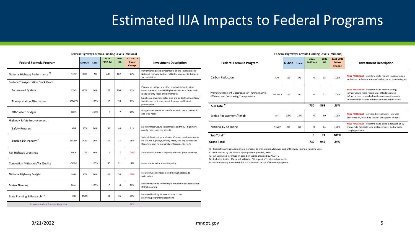#### Estimated IIJA Impacts to Federal Programs

| <b>Federal Formula Program</b>                            | <b>MnDOT</b> | Local | 2021<br><b>FAST Act</b> | 2022<br><b>IIJA</b> | 2022-2026<br>5-Year<br>Change | <b>Investment Description</b>                                                                                                                                        |
|-----------------------------------------------------------|--------------|-------|-------------------------|---------------------|-------------------------------|----------------------------------------------------------------------------------------------------------------------------------------------------------------------|
| National Highway Performance <sup>F4</sup><br><b>NHPP</b> | 99%          | 1%    | 408                     | 462                 | 17%                           | Performance based investments on the Interstate and<br>National Highway System (NHS) for pavements, bridges,<br>and reliability                                      |
| <b>Surface Transportation Block Grant:</b>                |              |       |                         |                     |                               |                                                                                                                                                                      |
| Federal-aid System<br><b>STBG</b>                         | 40%          | 60%   | 173                     | 200                 | 15%                           | Pavement, bridge, and other roadside infrastructure<br>investments on non-NHS highways and local federal-aid<br>roads (county roads and city streets)                |
| <b>Transportation Alternatives</b><br>STBG-TA             |              | 100%  | 16                      | 18                  | 19%                           | Small scale investment for bike and pedestrian facilities,<br>Safe Routes to School, scenic byways, and historic<br>preservation                                     |
| Off-System Bridges<br><b>BROS</b>                         |              | 100%  | 6                       | $\overline{7}$      | 18%                           | Bridge investments for non-federal-aid roads (township<br>and local roads)                                                                                           |
| Highway Safety Improvement:                               |              |       |                         |                     |                               |                                                                                                                                                                      |
| Safety Program<br><b>HSIP</b>                             | 30%          | 70%   | 37                      | 46                  | 31%                           | Safety infrastructure investments on MnDOT highways,<br>county roads, and city streets                                                                               |
| Section 164 Penalty <sup>F4</sup><br>SEC164               | 80%          | 20%   | 14                      | 17                  | 26%                           | Safety infrastructure and non-infrastructure investments<br>on MnDOT highways, county roads, and city streets and<br>Department of Public Safety enforcement efforts |
| Rail Highway Crossings<br><b>RHCP</b>                     | 10%          | 90%   | $\overline{7}$          | $\overline{7}$      | (2%)                          | Safety investments at highway-railroad grade crossings                                                                                                               |
| Congestion Mitigation/Air Quality<br>CMAQ                 |              | 100%  | 30                      | 31                  | 6%                            | Investments to improve air quality                                                                                                                                   |
| National Highway Freight<br><b>NHFP</b>                   | 30%          | 70%   | 22                      | 20                  | (4%)                          | Freight investments selected through statewide<br>solicitation                                                                                                       |
| <b>Metro Planning</b><br>PLAN                             |              | 100%  | 5                       | 6                   | 28%                           | Required funding for Metropolitan Planning Organization<br>(MPO) planning                                                                                            |
| State Planning & Research <sup>F5</sup><br>SPR            | 100%         |       | 14                      | 16                  | 20%                           | Required funding for research and state<br>planning/program management                                                                                               |
| Increase in Core Formula Programs                         |              |       |                         |                     |                               |                                                                                                                                                                      |

#### **Federal Highway Formula Funding Levels (millions)**

| <b>Federal Formula Program</b>                                                                  |                | <b>MnDOT</b> | Local | 2021<br><b>FAST Act</b> | 2022<br><b>IIJA</b> | 2022-2026<br>5-Year<br>Change | <b>Investment Description</b>                                                                                                                                                                                     |
|-------------------------------------------------------------------------------------------------|----------------|--------------|-------|-------------------------|---------------------|-------------------------------|-------------------------------------------------------------------------------------------------------------------------------------------------------------------------------------------------------------------|
| Carbon Reduction                                                                                | CRP            | thd          | thd   | $\Omega$                | 18                  | 100%                          | <b>NEW PROGRAM</b> - Investments to reduce transportation<br>emissions or development of carbon reduction strategies                                                                                              |
| Promoting Resilient Operations for Transformative,<br>Efficient, and Cost-saving Transportation | <b>PROTECT</b> | tbd          | thd   | $\Omega$                | 21                  | 100%                          | <b>NEW PROGRAM</b> - Investments to make existing<br>infrastructure more resilient or efforts to move<br>infrastructure to nearby locations not continuously<br>impacted by extreme weather and natural disasters |
| Sub Total F1                                                                                    |                |              |       | 730                     | 868                 | 23%                           |                                                                                                                                                                                                                   |
| Bridge Replacement/Rehab                                                                        | <b>BFP</b>     | 82%          | 18%   | $\Omega$                | 60                  | 100%                          | <b>NEW PROGRAM</b> - Increased investments in bridge<br>preservation, including 15% for off-system bridges                                                                                                        |
| National EV Charging                                                                            | <b>NEVFP</b>   | tbd          | tbd   | 0                       | 14                  | 100%                          | NEW PROGRAM - Investments to build a network of EV<br>chargers to facilitate long-distance travel and provide<br>charging options.                                                                                |
| Sub Total <sup>F2</sup>                                                                         |                |              |       | 0                       | 74                  | 100%                          |                                                                                                                                                                                                                   |
| <b>Grand Total</b>                                                                              |                |              |       | 730                     | 942                 | 34%                           |                                                                                                                                                                                                                   |

**Federal Highway Formula Funding Levels (millions)**

F1 - Subject to Annual Appropriation process as limitation in 2021 was 90% of Highway Formula Funding Level

F2 - Not limited by the Annual Appropriation process, 100%

F3 - All Estimated information based on tables provided by AASHTO

F4 - Includes Section 164 penalty (DWI or DUI repeat offender) adjustments

F5 - State Planning & Research for 2022-2026 will be 2% of the core programs.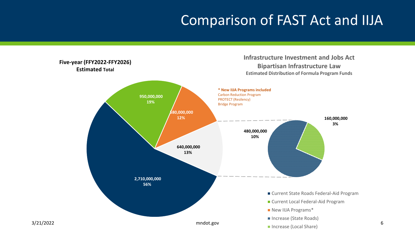#### Comparison of FAST Act and IIJA

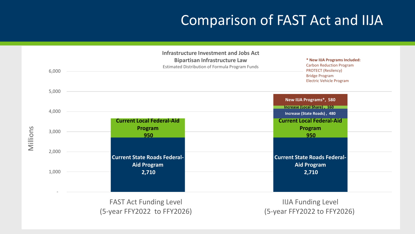#### Comparison of FAST Act and IIJA

|          | 6,000 | <b>Infrastructure Investment and Jobs Act</b><br><b>Bipartisan Infrastructure Law</b><br>Estimated Distribution of Formula Program Funds | * New IIJA Programs Included:<br><b>Carbon Reduction Program</b><br><b>PROTECT (Resilency)</b><br><b>Bridge Program</b><br><b>Electric Vehicle Program</b> |
|----------|-------|------------------------------------------------------------------------------------------------------------------------------------------|------------------------------------------------------------------------------------------------------------------------------------------------------------|
|          | 5,000 |                                                                                                                                          |                                                                                                                                                            |
|          | 4,000 |                                                                                                                                          | New IIJA Programs*, 580<br>Increase (Local Share), 160                                                                                                     |
|          |       | <b>Current Local Federal-Aid</b><br>Program                                                                                              | Increase (State Roads), 480<br><b>Current Local Federal-Aid</b><br>Program                                                                                 |
| Millions | 3,000 | 950                                                                                                                                      | 950                                                                                                                                                        |
|          | 2,000 | <b>Current State Roads Federal-</b><br><b>Aid Program</b>                                                                                | <b>Current State Roads Federal-</b><br><b>Aid Program</b>                                                                                                  |
|          | 1,000 | 2,710                                                                                                                                    | 2,710                                                                                                                                                      |

FAST Act Funding Level (5-year FFY2022 to FFY2026)

 IIJA Funding Level (5-year FFY2022 to FFY2026)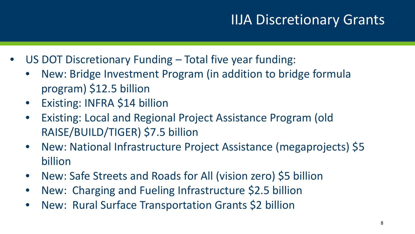#### IIJA Discretionary Grants

- US DOT Discretionary Funding Total five year funding:
	- New: Bridge Investment Program (in addition to bridge formula program) \$12.5 billion
	- Existing: INFRA \$14 billion
	- Existing: Local and Regional Project Assistance Program (old RAISE/BUILD/TIGER) \$7.5 billion
	- New: National Infrastructure Project Assistance (megaprojects) \$5 billion
	- New: Safe Streets and Roads for All (vision zero) \$5 billion
	- New: Charging and Fueling Infrastructure \$2.5 billion
	- New: Rural Surface Transportation Grants \$2 billion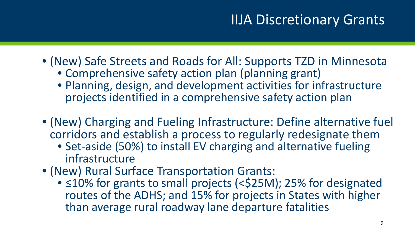#### IIJA Discretionary Grants

- (New) Safe Streets and Roads for All: Supports TZD in Minnesota
	- Comprehensive safety action plan (planning grant)
	- Planning, design, and development activities for infrastructure projects identified in a comprehensive safety action plan
- (New) Charging and Fueling Infrastructure: Define alternative fuel corridors and establish a process to regularly redesignate them
	- Set-aside (50%) to install EV charging and alternative fueling infrastructure
- (New) Rural Surface Transportation Grants:
	- ≤10% for grants to small projects (<\$25M); 25% for designated routes of the ADHS; and 15% for projects in States with higher than average rural roadway lane departure fatalities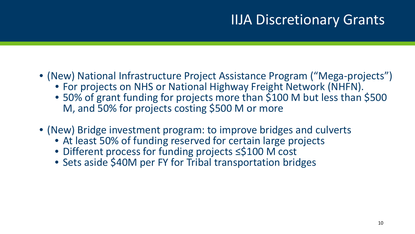#### IIJA Discretionary Grants

- (New) National Infrastructure Project Assistance Program ("Mega-projects")
	- For projects on NHS or National Highway Freight Network (NHFN).
	- 50% of grant funding for projects more than \$100 M but less than \$500 M, and 50% for projects costing \$500 M or more
- (New) Bridge investment program: to improve bridges and culverts
	- At least 50% of funding reserved for certain large projects
	- Different process for funding projects ≤\$100 M cost
	- Sets aside \$40M per FY for Tribal transportation bridges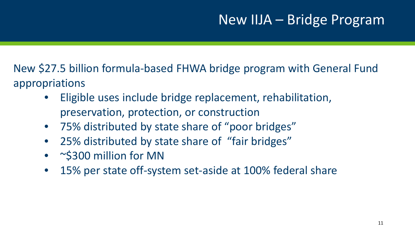#### New IIJA – Bridge Program

New \$27.5 billion formula-based FHWA bridge program with General Fund appropriations

- Eligible uses include bridge replacement, rehabilitation, preservation, protection, or construction
- 75% distributed by state share of "poor bridges"
- 25% distributed by state share of "fair bridges"
- ~\$300 million for MN
- 15% per state off-system set-aside at 100% federal share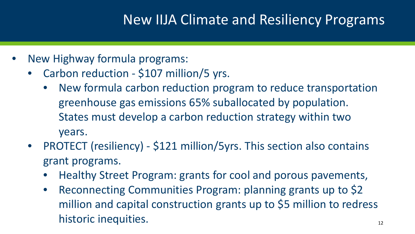#### New IIJA Climate and Resiliency Programs

- New Highway formula programs:
	- Carbon reduction \$107 million/5 yrs.
		- New formula carbon reduction program to reduce transportation greenhouse gas emissions 65% suballocated by population. States must develop a carbon reduction strategy within two years.
	- PROTECT (resiliency) \$121 million/5yrs. This section also contains grant programs.
		- Healthy Street Program: grants for cool and porous pavements,
		- Reconnecting Communities Program: planning grants up to \$2 million and capital construction grants up to \$5 million to redress historic inequities.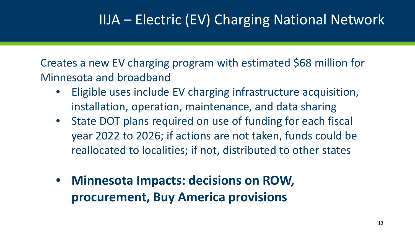### IIJA – Electric (EV) Charging National Network

Creates a new EV charging program with estimated \$68 million for Minnesota and broadband

- Eligible uses include EV charging infrastructure acquisition, installation, operation, maintenance, and data sharing
- State DOT plans required on use of funding for each fiscal year 2022 to 2026; if actions are not taken, funds could be reallocated to localities; if not, distributed to other states
- **Minnesota Impacts: decisions on ROW, procurement, Buy America provisions**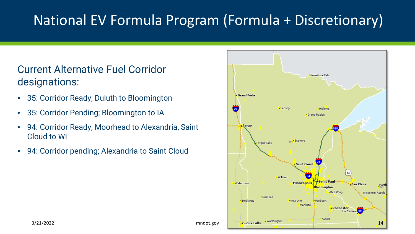### National EV Formula Program (Formula + Discretionary)

#### Current Alternative Fuel Corridor designations:

- 35: Corridor Ready; Duluth to Bloomington
- 35: Corridor Pending; Bloomington to IA
- 94: Corridor Ready; Moorhead to Alexandria, Saint Cloud to WI
- 94: Corridor pending; Alexandria to Saint Cloud

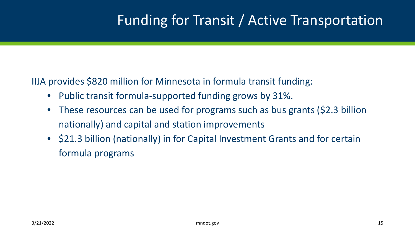#### Funding for Transit / Active Transportation

IIJA provides \$820 million for Minnesota in formula transit funding:

- Public transit formula-supported funding grows by 31%.
- These resources can be used for programs such as bus grants (\$2.3 billion nationally) and capital and station improvements
- \$21.3 billion (nationally) in for Capital Investment Grants and for certain formula programs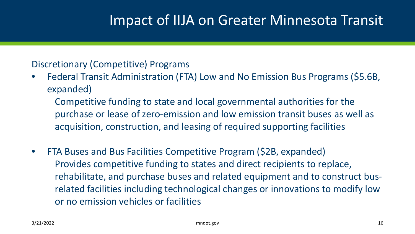#### Impact of IIJA on Greater Minnesota Transit

#### Discretionary (Competitive) Programs

• Federal Transit Administration (FTA) Low and No Emission Bus Programs (\$5.6B, expanded)

Competitive funding to state and local governmental authorities for the purchase or lease of zero-emission and low emission transit buses as well as acquisition, construction, and leasing of required supporting facilities

• FTA Buses and Bus Facilities Competitive Program (\$2B, expanded) Provides competitive funding to states and direct recipients to replace, rehabilitate, and purchase buses and related equipment and to construct busrelated facilities including technological changes or innovations to modify low or no emission vehicles or facilities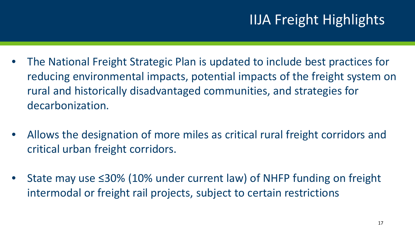- The National Freight Strategic Plan is updated to include best practices for reducing environmental impacts, potential impacts of the freight system on rural and historically disadvantaged communities, and strategies for decarbonization.
- Allows the designation of more miles as critical rural freight corridors and critical urban freight corridors.
- State may use ≤30% (10% under current law) of NHFP funding on freight intermodal or freight rail projects, subject to certain restrictions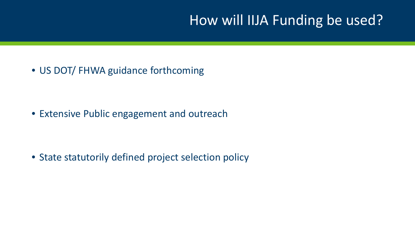#### How will IIJA Funding be used?

• US DOT/ FHWA guidance forthcoming

• Extensive Public engagement and outreach

• State statutorily defined project selection policy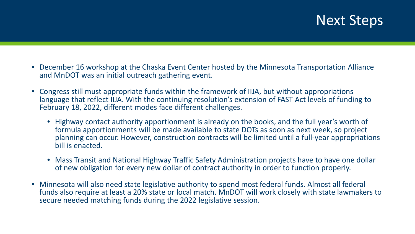#### Next Steps

- December 16 workshop at the Chaska Event Center hosted by the Minnesota Transportation Alliance and MnDOT was an initial outreach gathering event.
- Congress still must appropriate funds within the framework of IIJA, but without appropriations language that reflect IIJA. With the continuing resolution's extension of FAST Act levels of funding to February 18, 2022, different modes face different challenges.
	- Highway contact authority apportionment is already on the books, and the full year's worth of formula apportionments will be made available to state DOTs as soon as next week, so project planning can occur. However, construction contracts will be limited until a full-year appropriations bill is enacted.
	- Mass Transit and National Highway Traffic Safety Administration projects have to have one dollar of new obligation for every new dollar of contract authority in order to function properly.
- Minnesota will also need state legislative authority to spend most federal funds. Almost all federal funds also require at least a 20% state or local match. MnDOT will work closely with state lawmakers to secure needed matching funds during the 2022 legislative session.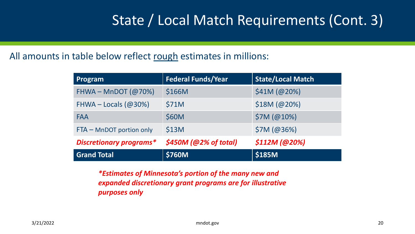### State / Local Match Requirements (Cont. 3)

#### All amounts in table below reflect rough estimates in millions:

| Program                        | <b>Federal Funds/Year</b> | <b>State/Local Match</b> |
|--------------------------------|---------------------------|--------------------------|
| FHWA – MnDOT $(Q70%)$          | \$166M                    | \$41M (@20%)             |
| FHWA – Locals $(@30%)$         | \$71M                     | \$18M (@20%)             |
| FAA                            | \$60M                     | \$7M (@10%)              |
| FTA - MnDOT portion only       | \$13M                     | \$7M (@36%)              |
| <b>Discretionary programs*</b> | $$450M$ (@2% of total)    | \$112M (@20%)            |
| <b>Grand Total</b>             | <b>\$760M</b>             | \$185M                   |

*\*Estimates of Minnesota's portion of the many new and expanded discretionary grant programs are for illustrative purposes only*